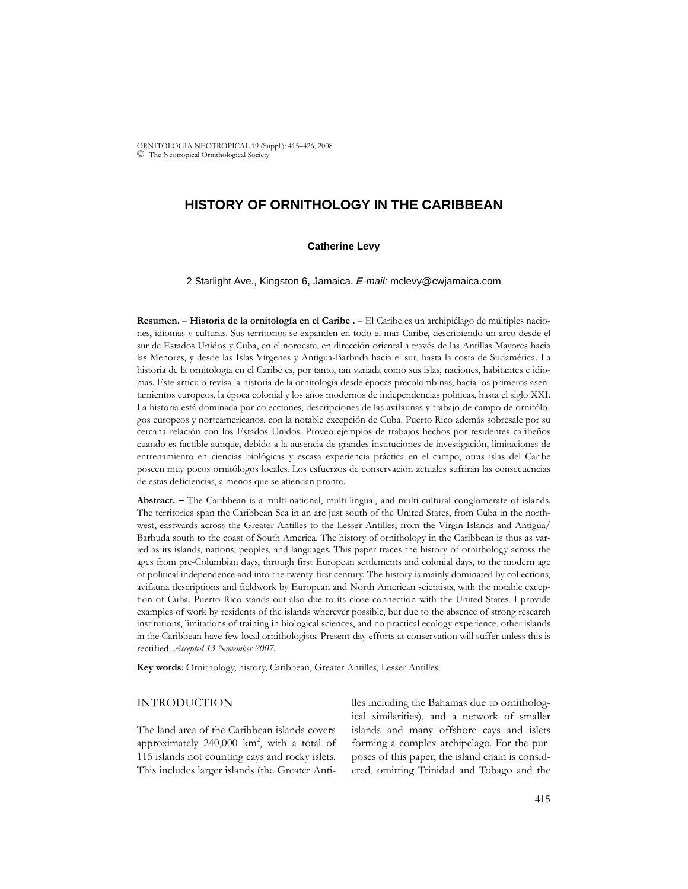ORNITOLOGIA NEOTROPICAL 19 (Suppl.): 415–426, 2008 © The Neotropical Ornithological Society

# **HISTORY OF ORNITHOLOGY IN THE CARIBBEAN**

#### **Catherine Levy**

2 Starlight Ave., Kingston 6, Jamaica. *E-mail:* mclevy@cwjamaica.com

**Resumen. – Historia de la ornitología en el Caribe . –** El Caribe es un archipiélago de múltiples naciones, idiomas y culturas. Sus territorios se expanden en todo el mar Caribe, describiendo un arco desde el sur de Estados Unidos y Cuba, en el noroeste, en dirección oriental a través de las Antillas Mayores hacia las Menores, y desde las Islas Vírgenes y Antigua-Barbuda hacia el sur, hasta la costa de Sudamérica. La historia de la ornitología en el Caribe es, por tanto, tan variada como sus islas, naciones, habitantes e idiomas. Este artículo revisa la historia de la ornitología desde épocas precolombinas, hacia los primeros asentamientos europeos, la época colonial y los años modernos de independencias políticas, hasta el siglo XXI. La historia está dominada por colecciones, descripciones de las avifaunas y trabajo de campo de ornitólogos europeos y norteamericanos, con la notable excepción de Cuba. Puerto Rico además sobresale por su cercana relación con los Estados Unidos. Proveo ejemplos de trabajos hechos por residentes caribeños cuando es factible aunque, debido a la ausencia de grandes instituciones de investigación, limitaciones de entrenamiento en ciencias biológicas y escasa experiencia práctica en el campo, otras islas del Caribe poseen muy pocos ornitólogos locales. Los esfuerzos de conservación actuales sufrirán las consecuencias de estas deficiencias, a menos que se atiendan pronto.

**Abstract. –** The Caribbean is a multi-national, multi-lingual, and multi-cultural conglomerate of islands. The territories span the Caribbean Sea in an arc just south of the United States, from Cuba in the northwest, eastwards across the Greater Antilles to the Lesser Antilles, from the Virgin Islands and Antigua/ Barbuda south to the coast of South America. The history of ornithology in the Caribbean is thus as varied as its islands, nations, peoples, and languages. This paper traces the history of ornithology across the ages from pre-Columbian days, through first European settlements and colonial days, to the modern age of political independence and into the twenty-first century. The history is mainly dominated by collections, avifauna descriptions and fieldwork by European and North American scientists, with the notable exception of Cuba. Puerto Rico stands out also due to its close connection with the United States. I provide examples of work by residents of the islands wherever possible, but due to the absence of strong research institutions, limitations of training in biological sciences, and no practical ecology experience, other islands in the Caribbean have few local ornithologists. Present-day efforts at conservation will suffer unless this is rectified. *Accepted 13 November 2007.*

**Key words**: Ornithology, history, Caribbean, Greater Antilles, Lesser Antilles.

## INTRODUCTION

The land area of the Caribbean islands covers approximately  $240,000$  km<sup>2</sup>, with a total of 115 islands not counting cays and rocky islets. This includes larger islands (the Greater Antilles including the Bahamas due to ornithological similarities), and a network of smaller islands and many offshore cays and islets forming a complex archipelago. For the purposes of this paper, the island chain is considered, omitting Trinidad and Tobago and the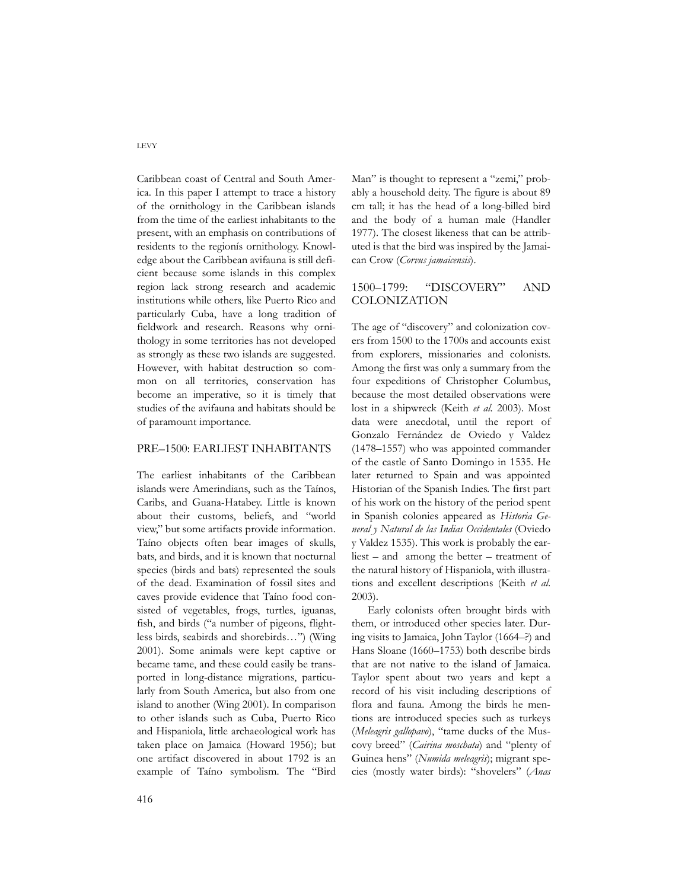Caribbean coast of Central and South America. In this paper I attempt to trace a history of the ornithology in the Caribbean islands from the time of the earliest inhabitants to the present, with an emphasis on contributions of residents to the regionís ornithology. Knowledge about the Caribbean avifauna is still deficient because some islands in this complex region lack strong research and academic institutions while others, like Puerto Rico and particularly Cuba, have a long tradition of fieldwork and research. Reasons why ornithology in some territories has not developed as strongly as these two islands are suggested. However, with habitat destruction so common on all territories, conservation has become an imperative, so it is timely that studies of the avifauna and habitats should be of paramount importance.

## PRE–1500: EARLIEST INHABITANTS

The earliest inhabitants of the Caribbean islands were Amerindians, such as the Taínos, Caribs, and Guana-Hatabey. Little is known about their customs, beliefs, and "world view," but some artifacts provide information. Taíno objects often bear images of skulls, bats, and birds, and it is known that nocturnal species (birds and bats) represented the souls of the dead. Examination of fossil sites and caves provide evidence that Taíno food consisted of vegetables, frogs, turtles, iguanas, fish, and birds ("a number of pigeons, flightless birds, seabirds and shorebirds…") (Wing 2001). Some animals were kept captive or became tame, and these could easily be transported in long-distance migrations, particularly from South America, but also from one island to another (Wing 2001). In comparison to other islands such as Cuba, Puerto Rico and Hispaniola, little archaeological work has taken place on Jamaica (Howard 1956); but one artifact discovered in about 1792 is an example of Taíno symbolism. The "Bird

Man" is thought to represent a "zemi," probably a household deity. The figure is about 89 cm tall; it has the head of a long-billed bird and the body of a human male (Handler 1977). The closest likeness that can be attributed is that the bird was inspired by the Jamaican Crow (*Corvus jamaicensis*).

## 1500–1799: "DISCOVERY" AND COLONIZATION

The age of "discovery" and colonization covers from 1500 to the 1700s and accounts exist from explorers, missionaries and colonists. Among the first was only a summary from the four expeditions of Christopher Columbus, because the most detailed observations were lost in a shipwreck (Keith *et al*. 2003). Most data were anecdotal, until the report of Gonzalo Fernández de Oviedo y Valdez (1478–1557) who was appointed commander of the castle of Santo Domingo in 1535. He later returned to Spain and was appointed Historian of the Spanish Indies. The first part of his work on the history of the period spent in Spanish colonies appeared as *Historia General y Natural de las Indias Occidentales* (Oviedo y Valdez 1535). This work is probably the earliest – and among the better – treatment of the natural history of Hispaniola, with illustrations and excellent descriptions (Keith *et al*. 2003).

Early colonists often brought birds with them, or introduced other species later. During visits to Jamaica, John Taylor (1664–?) and Hans Sloane (1660–1753) both describe birds that are not native to the island of Jamaica. Taylor spent about two years and kept a record of his visit including descriptions of flora and fauna. Among the birds he mentions are introduced species such as turkeys (*Meleagris gallopavo*), "tame ducks of the Muscovy breed" (*Cairina moschata*) and "plenty of Guinea hens" (*Numida meleagris*); migrant species (mostly water birds): "shovelers" (*Anas*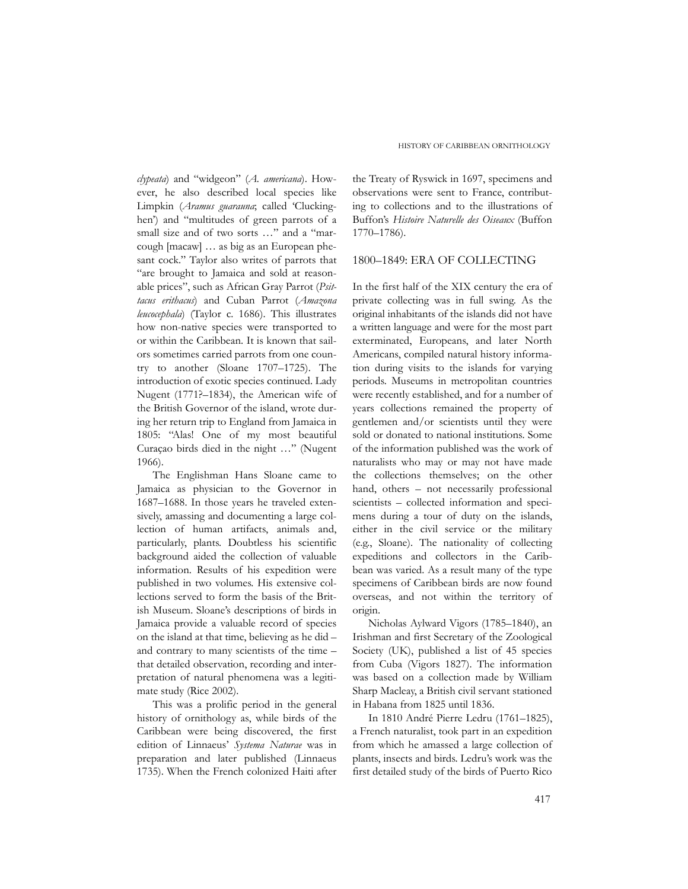*clypeata*) and "widgeon" (*A. americana*). However, he also described local species like Limpkin (*Aramus guarauna*; called 'Cluckinghen') and "multitudes of green parrots of a small size and of two sorts …" and a "marcough [macaw] … as big as an European phesant cock." Taylor also writes of parrots that "are brought to Jamaica and sold at reasonable prices", such as African Gray Parrot (*Psittacus erithacus*) and Cuban Parrot (*Amazona leucocephala*) (Taylor c. 1686). This illustrates how non-native species were transported to or within the Caribbean. It is known that sailors sometimes carried parrots from one country to another (Sloane 1707–1725). The introduction of exotic species continued. Lady Nugent (1771?–1834), the American wife of the British Governor of the island, wrote during her return trip to England from Jamaica in 1805: "Alas! One of my most beautiful Curaçao birds died in the night …" (Nugent 1966).

The Englishman Hans Sloane came to Jamaica as physician to the Governor in 1687–1688. In those years he traveled extensively, amassing and documenting a large collection of human artifacts, animals and, particularly, plants. Doubtless his scientific background aided the collection of valuable information. Results of his expedition were published in two volumes. His extensive collections served to form the basis of the British Museum. Sloane's descriptions of birds in Jamaica provide a valuable record of species on the island at that time, believing as he did – and contrary to many scientists of the time – that detailed observation, recording and interpretation of natural phenomena was a legitimate study (Rice 2002).

This was a prolific period in the general history of ornithology as, while birds of the Caribbean were being discovered, the first edition of Linnaeus' *Systema Naturae* was in preparation and later published (Linnaeus 1735). When the French colonized Haiti after the Treaty of Ryswick in 1697, specimens and observations were sent to France, contributing to collections and to the illustrations of Buffon's *Histoire Naturelle des Oiseaux* (Buffon 1770–1786).

#### 1800–1849: ERA OF COLLECTING

In the first half of the XIX century the era of private collecting was in full swing. As the original inhabitants of the islands did not have a written language and were for the most part exterminated, Europeans, and later North Americans, compiled natural history information during visits to the islands for varying periods. Museums in metropolitan countries were recently established, and for a number of years collections remained the property of gentlemen and/or scientists until they were sold or donated to national institutions. Some of the information published was the work of naturalists who may or may not have made the collections themselves; on the other hand, others – not necessarily professional scientists – collected information and specimens during a tour of duty on the islands, either in the civil service or the military (e.g., Sloane). The nationality of collecting expeditions and collectors in the Caribbean was varied. As a result many of the type specimens of Caribbean birds are now found overseas, and not within the territory of origin.

Nicholas Aylward Vigors (1785–1840), an Irishman and first Secretary of the Zoological Society (UK), published a list of 45 species from Cuba (Vigors 1827). The information was based on a collection made by William Sharp Macleay, a British civil servant stationed in Habana from 1825 until 1836.

In 1810 André Pierre Ledru (1761–1825), a French naturalist, took part in an expedition from which he amassed a large collection of plants, insects and birds. Ledru's work was the first detailed study of the birds of Puerto Rico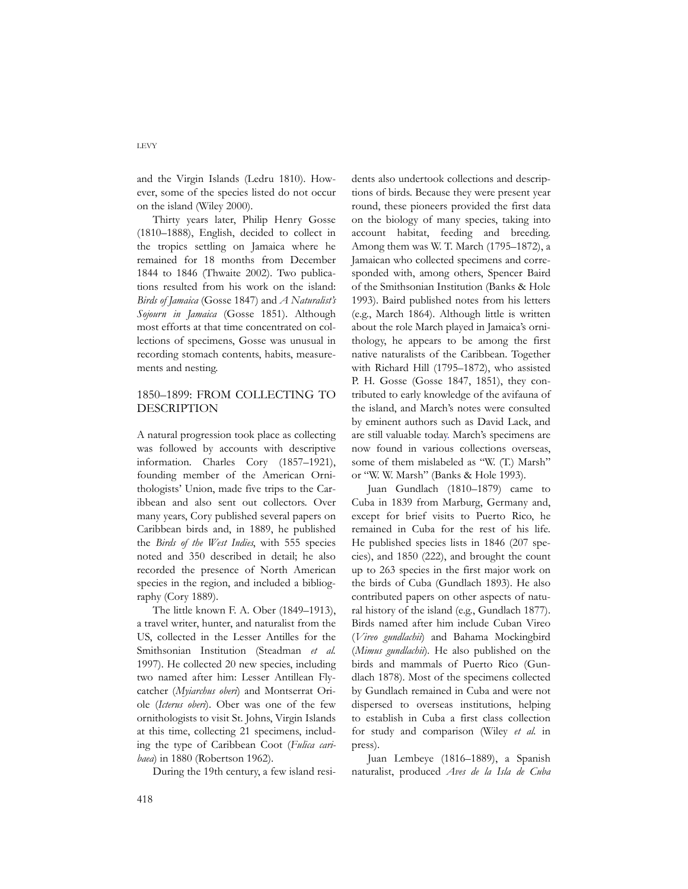and the Virgin Islands (Ledru 1810). However, some of the species listed do not occur on the island (Wiley 2000).

Thirty years later, Philip Henry Gosse (1810–1888), English, decided to collect in the tropics settling on Jamaica where he remained for 18 months from December 1844 to 1846 (Thwaite 2002). Two publications resulted from his work on the island: *Birds of Jamaica* (Gosse 1847) and *A Naturalist's Sojourn in Jamaica* (Gosse 1851). Although most efforts at that time concentrated on collections of specimens, Gosse was unusual in recording stomach contents, habits, measurements and nesting.

## 1850–1899: FROM COLLECTING TO DESCRIPTION

A natural progression took place as collecting was followed by accounts with descriptive information. Charles Cory (1857–1921), founding member of the American Ornithologists' Union, made five trips to the Caribbean and also sent out collectors. Over many years, Cory published several papers on Caribbean birds and, in 1889, he published the *Birds of the West Indies*, with 555 species noted and 350 described in detail; he also recorded the presence of North American species in the region, and included a bibliography (Cory 1889).

The little known F. A. Ober (1849–1913), a travel writer, hunter, and naturalist from the US, collected in the Lesser Antilles for the Smithsonian Institution (Steadman *et al.* 1997). He collected 20 new species, including two named after him: Lesser Antillean Flycatcher (*Myiarchus oberi*) and Montserrat Oriole (*Icterus oberi*). Ober was one of the few ornithologists to visit St. Johns, Virgin Islands at this time, collecting 21 specimens, including the type of Caribbean Coot (*Fulica caribaea*) in 1880 (Robertson 1962).

During the 19th century, a few island resi-

dents also undertook collections and descriptions of birds. Because they were present year round, these pioneers provided the first data on the biology of many species, taking into account habitat, feeding and breeding. Among them was W. T. March (1795–1872), a Jamaican who collected specimens and corresponded with, among others, Spencer Baird of the Smithsonian Institution (Banks & Hole 1993). Baird published notes from his letters (e.g., March 1864). Although little is written about the role March played in Jamaica's ornithology, he appears to be among the first native naturalists of the Caribbean. Together with Richard Hill (1795–1872), who assisted P. H. Gosse (Gosse 1847, 1851), they contributed to early knowledge of the avifauna of the island, and March's notes were consulted by eminent authors such as David Lack, and are still valuable today. March's specimens are now found in various collections overseas, some of them mislabeled as "W. (T.) Marsh" or "W. W. Marsh" (Banks & Hole 1993).

Juan Gundlach (1810–1879) came to Cuba in 1839 from Marburg, Germany and, except for brief visits to Puerto Rico, he remained in Cuba for the rest of his life. He published species lists in 1846 (207 species), and 1850 (222), and brought the count up to 263 species in the first major work on the birds of Cuba (Gundlach 1893). He also contributed papers on other aspects of natural history of the island (e.g., Gundlach 1877). Birds named after him include Cuban Vireo (*Vireo gundlachii*) and Bahama Mockingbird (*Mimus gundlachii*)*.* He also published on the birds and mammals of Puerto Rico (Gundlach 1878). Most of the specimens collected by Gundlach remained in Cuba and were not dispersed to overseas institutions, helping to establish in Cuba a first class collection for study and comparison (Wiley *et al.* in press).

Juan Lembeye (1816–1889), a Spanish naturalist, produced *Aves de la Isla de Cuba*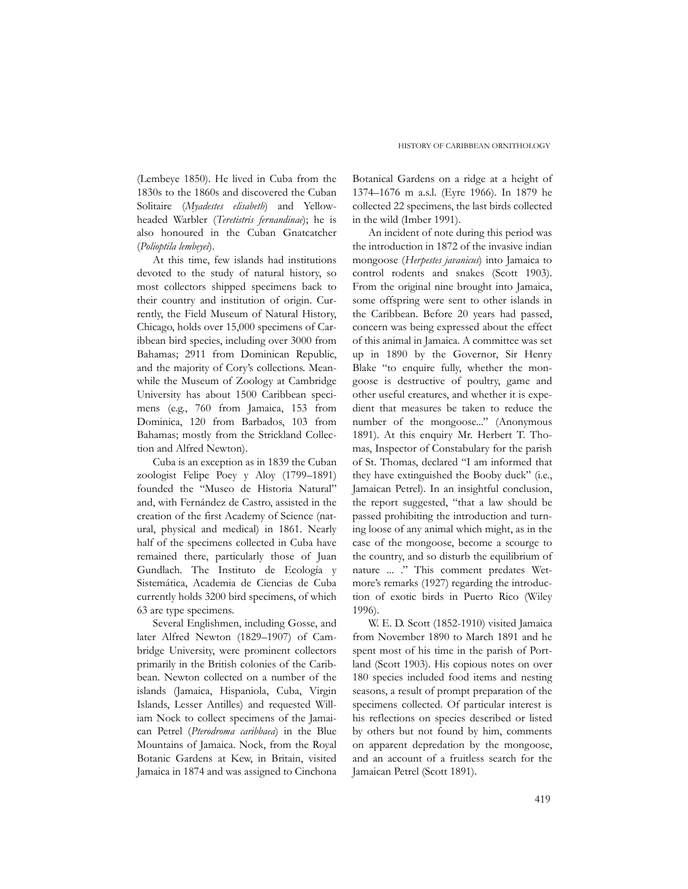(Lembeye 1850). He lived in Cuba from the 1830s to the 1860s and discovered the Cuban Solitaire (*Myadestes elisabeth*) and Yellowheaded Warbler (*Teretistris fernandinae*); he is also honoured in the Cuban Gnatcatcher (*Polioptila lembeyei*).

At this time, few islands had institutions devoted to the study of natural history, so most collectors shipped specimens back to their country and institution of origin. Currently, the Field Museum of Natural History, Chicago, holds over 15,000 specimens of Caribbean bird species, including over 3000 from Bahamas; 2911 from Dominican Republic, and the majority of Cory's collections. Meanwhile the Museum of Zoology at Cambridge University has about 1500 Caribbean specimens (e.g., 760 from Jamaica, 153 from Dominica, 120 from Barbados, 103 from Bahamas; mostly from the Strickland Collection and Alfred Newton).

Cuba is an exception as in 1839 the Cuban zoologist Felipe Poey y Aloy (1799–1891) founded the "Museo de Historia Natural" and, with Fernández de Castro, assisted in the creation of the first Academy of Science (natural, physical and medical) in 1861. Nearly half of the specimens collected in Cuba have remained there, particularly those of Juan Gundlach. The Instituto de Ecología y Sistemática, Academia de Ciencias de Cuba currently holds 3200 bird specimens, of which 63 are type specimens.

Several Englishmen, including Gosse, and later Alfred Newton (1829–1907) of Cambridge University, were prominent collectors primarily in the British colonies of the Caribbean. Newton collected on a number of the islands (Jamaica, Hispaniola, Cuba, Virgin Islands, Lesser Antilles) and requested William Nock to collect specimens of the Jamaican Petrel (*Pterodroma caribbaea*) in the Blue Mountains of Jamaica. Nock, from the Royal Botanic Gardens at Kew, in Britain, visited Jamaica in 1874 and was assigned to Cinchona

Botanical Gardens on a ridge at a height of 1374–1676 m a.s.l. (Eyre 1966). In 1879 he collected 22 specimens, the last birds collected in the wild (Imber 1991).

An incident of note during this period was the introduction in 1872 of the invasive indian mongoose (*Herpestes javanicus*) into Jamaica to control rodents and snakes (Scott 1903). From the original nine brought into Jamaica, some offspring were sent to other islands in the Caribbean. Before 20 years had passed, concern was being expressed about the effect of this animal in Jamaica. A committee was set up in 1890 by the Governor, Sir Henry Blake "to enquire fully, whether the mongoose is destructive of poultry, game and other useful creatures, and whether it is expedient that measures be taken to reduce the number of the mongoose..." (Anonymous 1891). At this enquiry Mr. Herbert T. Thomas, Inspector of Constabulary for the parish of St. Thomas, declared "I am informed that they have extinguished the Booby duck" (i.e., Jamaican Petrel). In an insightful conclusion, the report suggested, "that a law should be passed prohibiting the introduction and turning loose of any animal which might, as in the case of the mongoose, become a scourge to the country, and so disturb the equilibrium of nature ... ." This comment predates Wetmore's remarks (1927) regarding the introduction of exotic birds in Puerto Rico (Wiley 1996).

W. E. D. Scott (1852-1910) visited Jamaica from November 1890 to March 1891 and he spent most of his time in the parish of Portland (Scott 1903). His copious notes on over 180 species included food items and nesting seasons, a result of prompt preparation of the specimens collected. Of particular interest is his reflections on species described or listed by others but not found by him, comments on apparent depredation by the mongoose, and an account of a fruitless search for the Jamaican Petrel (Scott 1891).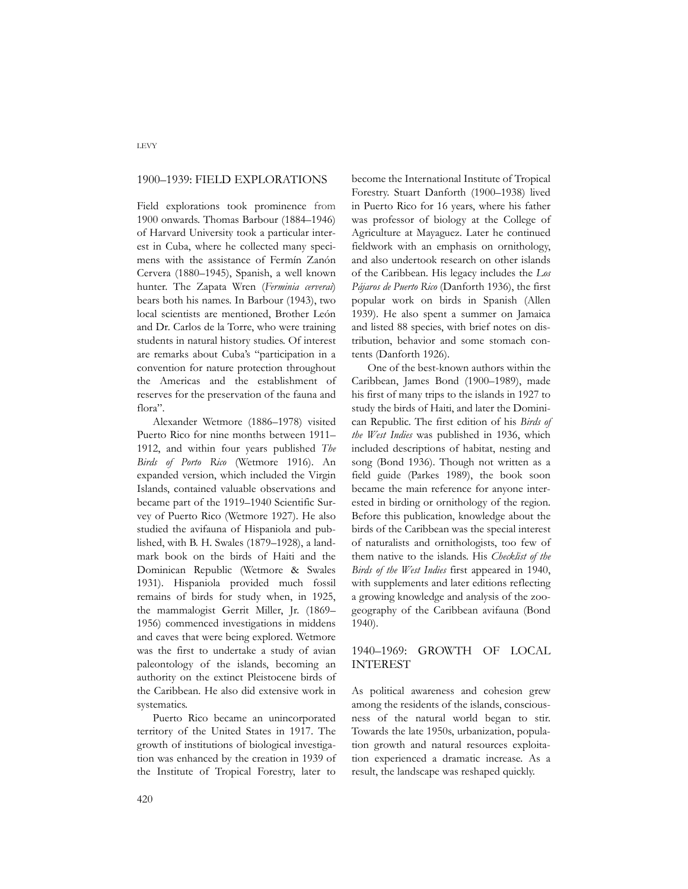#### 1900–1939: FIELD EXPLORATIONS

Field explorations took prominence from 1900 onwards. Thomas Barbour (1884–1946) of Harvard University took a particular interest in Cuba, where he collected many specimens with the assistance of Fermín Zanón Cervera (1880–1945), Spanish, a well known hunter. The Zapata Wren (*Ferminia cerverai*) bears both his names. In Barbour (1943), two local scientists are mentioned, Brother León and Dr. Carlos de la Torre, who were training students in natural history studies. Of interest are remarks about Cuba's "participation in a convention for nature protection throughout the Americas and the establishment of reserves for the preservation of the fauna and flora".

Alexander Wetmore (1886–1978) visited Puerto Rico for nine months between 1911– 1912, and within four years published *The Birds of Porto Rico* (Wetmore 1916). An expanded version, which included the Virgin Islands, contained valuable observations and became part of the 1919–1940 Scientific Survey of Puerto Rico (Wetmore 1927). He also studied the avifauna of Hispaniola and published, with B. H. Swales (1879–1928), a landmark book on the birds of Haiti and the Dominican Republic (Wetmore & Swales 1931). Hispaniola provided much fossil remains of birds for study when, in 1925, the mammalogist Gerrit Miller, Jr. (1869– 1956) commenced investigations in middens and caves that were being explored. Wetmore was the first to undertake a study of avian paleontology of the islands, becoming an authority on the extinct Pleistocene birds of the Caribbean. He also did extensive work in systematics.

Puerto Rico became an unincorporated territory of the United States in 1917. The growth of institutions of biological investigation was enhanced by the creation in 1939 of the Institute of Tropical Forestry, later to

become the International Institute of Tropical Forestry. Stuart Danforth (1900–1938) lived in Puerto Rico for 16 years, where his father was professor of biology at the College of Agriculture at Mayaguez. Later he continued fieldwork with an emphasis on ornithology, and also undertook research on other islands of the Caribbean. His legacy includes the *Los Pájaros de Puerto Rico* (Danforth 1936), the first popular work on birds in Spanish (Allen 1939). He also spent a summer on Jamaica and listed 88 species, with brief notes on distribution, behavior and some stomach contents (Danforth 1926).

One of the best-known authors within the Caribbean, James Bond (1900–1989), made his first of many trips to the islands in 1927 to study the birds of Haiti, and later the Dominican Republic. The first edition of his *Birds of the West Indies* was published in 1936, which included descriptions of habitat, nesting and song (Bond 1936). Though not written as a field guide (Parkes 1989), the book soon became the main reference for anyone interested in birding or ornithology of the region. Before this publication, knowledge about the birds of the Caribbean was the special interest of naturalists and ornithologists, too few of them native to the islands. His *Checklist of the Birds of the West Indies* first appeared in 1940, with supplements and later editions reflecting a growing knowledge and analysis of the zoogeography of the Caribbean avifauna (Bond 1940).

## 1940–1969: GROWTH OF LOCAL INTEREST

As political awareness and cohesion grew among the residents of the islands, consciousness of the natural world began to stir. Towards the late 1950s, urbanization, population growth and natural resources exploitation experienced a dramatic increase. As a result, the landscape was reshaped quickly.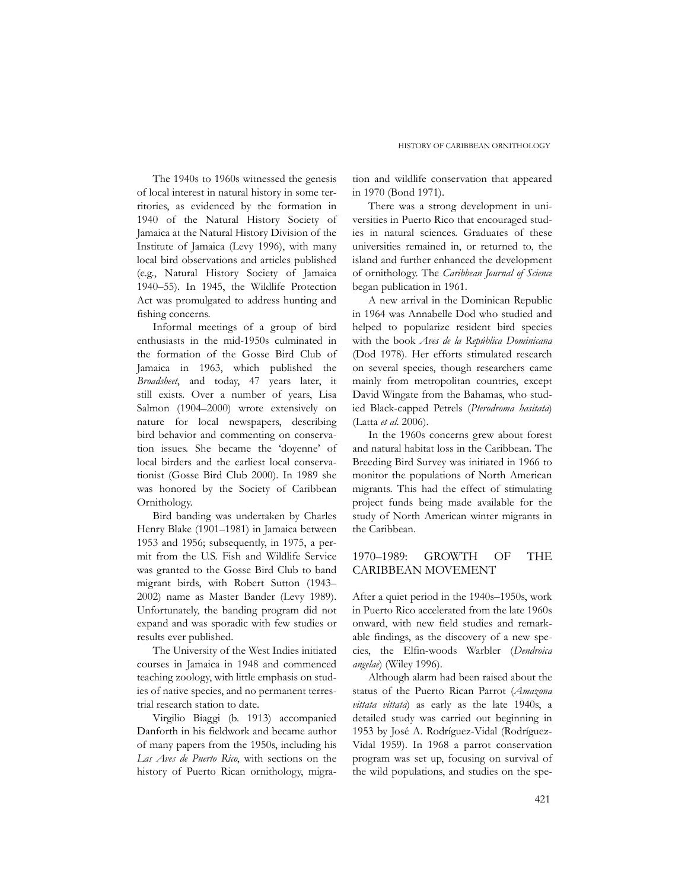The 1940s to 1960s witnessed the genesis of local interest in natural history in some territories, as evidenced by the formation in 1940 of the Natural History Society of Jamaica at the Natural History Division of the Institute of Jamaica (Levy 1996), with many local bird observations and articles published (e.g., Natural History Society of Jamaica 1940–55). In 1945, the Wildlife Protection Act was promulgated to address hunting and fishing concerns.

Informal meetings of a group of bird enthusiasts in the mid-1950s culminated in the formation of the Gosse Bird Club of Jamaica in 1963, which published the *Broadsheet*, and today, 47 years later, it still exists. Over a number of years, Lisa Salmon (1904–2000) wrote extensively on nature for local newspapers, describing bird behavior and commenting on conservation issues. She became the 'doyenne' of local birders and the earliest local conservationist (Gosse Bird Club 2000). In 1989 she was honored by the Society of Caribbean Ornithology.

Bird banding was undertaken by Charles Henry Blake (1901–1981) in Jamaica between 1953 and 1956; subsequently, in 1975, a permit from the U.S. Fish and Wildlife Service was granted to the Gosse Bird Club to band migrant birds, with Robert Sutton (1943– 2002) name as Master Bander (Levy 1989). Unfortunately, the banding program did not expand and was sporadic with few studies or results ever published.

The University of the West Indies initiated courses in Jamaica in 1948 and commenced teaching zoology, with little emphasis on studies of native species, and no permanent terrestrial research station to date.

Virgilio Biaggi (b. 1913) accompanied Danforth in his fieldwork and became author of many papers from the 1950s, including his *Las Aves de Puerto Rico*, with sections on the history of Puerto Rican ornithology, migra-

tion and wildlife conservation that appeared in 1970 (Bond 1971).

There was a strong development in universities in Puerto Rico that encouraged studies in natural sciences. Graduates of these universities remained in, or returned to, the island and further enhanced the development of ornithology. The *Caribbean Journal of Science* began publication in 1961.

A new arrival in the Dominican Republic in 1964 was Annabelle Dod who studied and helped to popularize resident bird species with the book *Aves de la República Dominicana* (Dod 1978). Her efforts stimulated research on several species, though researchers came mainly from metropolitan countries, except David Wingate from the Bahamas, who studied Black-capped Petrels (*Pterodroma hasitata*) (Latta *et al*. 2006).

In the 1960s concerns grew about forest and natural habitat loss in the Caribbean. The Breeding Bird Survey was initiated in 1966 to monitor the populations of North American migrants. This had the effect of stimulating project funds being made available for the study of North American winter migrants in the Caribbean.

## 1970–1989: GROWTH OF THE CARIBBEAN MOVEMENT

After a quiet period in the 1940s–1950s, work in Puerto Rico accelerated from the late 1960s onward, with new field studies and remarkable findings, as the discovery of a new species, the Elfin-woods Warbler (*Dendroica angelae*) (Wiley 1996).

Although alarm had been raised about the status of the Puerto Rican Parrot (*Amazona vittata vittata*) as early as the late 1940s, a detailed study was carried out beginning in 1953 by José A. Rodríguez-Vidal (Rodríguez-Vidal 1959). In 1968 a parrot conservation program was set up, focusing on survival of the wild populations, and studies on the spe-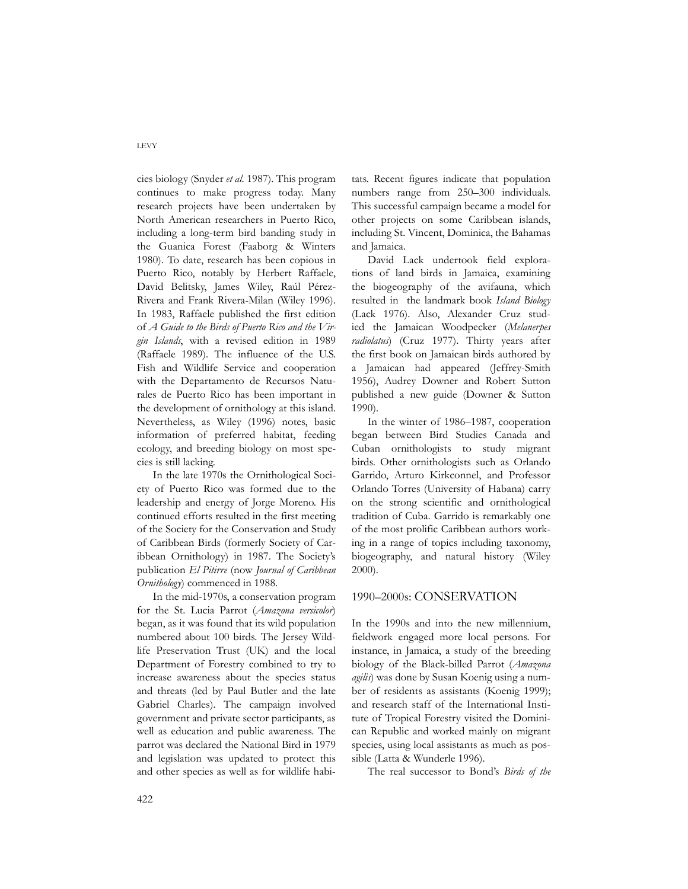cies biology (Snyder *et al*. 1987). This program continues to make progress today. Many research projects have been undertaken by North American researchers in Puerto Rico, including a long-term bird banding study in the Guanica Forest (Faaborg & Winters 1980). To date, research has been copious in Puerto Rico, notably by Herbert Raffaele, David Belitsky, James Wiley, Raúl Pérez-Rivera and Frank Rivera-Milan (Wiley 1996). In 1983, Raffaele published the first edition of *A Guide to the Birds of Puerto Rico and the Virgin Islands*, with a revised edition in 1989 (Raffaele 1989). The influence of the U.S. Fish and Wildlife Service and cooperation with the Departamento de Recursos Naturales de Puerto Rico has been important in the development of ornithology at this island. Nevertheless, as Wiley (1996) notes, basic information of preferred habitat, feeding ecology, and breeding biology on most species is still lacking.

In the late 1970s the Ornithological Society of Puerto Rico was formed due to the leadership and energy of Jorge Moreno. His continued efforts resulted in the first meeting of the Society for the Conservation and Study of Caribbean Birds (formerly Society of Caribbean Ornithology) in 1987. The Society's publication *El Pitirre* (now *Journal of Caribbean Ornithology*) commenced in 1988.

In the mid-1970s, a conservation program for the St. Lucia Parrot (*Amazona versicolor*) began, as it was found that its wild population numbered about 100 birds. The Jersey Wildlife Preservation Trust (UK) and the local Department of Forestry combined to try to increase awareness about the species status and threats (led by Paul Butler and the late Gabriel Charles). The campaign involved government and private sector participants, as well as education and public awareness. The parrot was declared the National Bird in 1979 and legislation was updated to protect this and other species as well as for wildlife habitats. Recent figures indicate that population numbers range from 250–300 individuals. This successful campaign became a model for other projects on some Caribbean islands, including St. Vincent, Dominica, the Bahamas and Jamaica.

David Lack undertook field explorations of land birds in Jamaica, examining the biogeography of the avifauna, which resulted in the landmark book *Island Biology* (Lack 1976). Also, Alexander Cruz studied the Jamaican Woodpecker (*Melanerpes radiolatus*) (Cruz 1977). Thirty years after the first book on Jamaican birds authored by a Jamaican had appeared (Jeffrey-Smith 1956), Audrey Downer and Robert Sutton published a new guide (Downer & Sutton 1990).

In the winter of 1986–1987, cooperation began between Bird Studies Canada and Cuban ornithologists to study migrant birds. Other ornithologists such as Orlando Garrido, Arturo Kirkconnel, and Professor Orlando Torres (University of Habana) carry on the strong scientific and ornithological tradition of Cuba. Garrido is remarkably one of the most prolific Caribbean authors working in a range of topics including taxonomy, biogeography, and natural history (Wiley 2000).

#### 1990–2000s: CONSERVATION

In the 1990s and into the new millennium, fieldwork engaged more local persons. For instance, in Jamaica, a study of the breeding biology of the Black-billed Parrot (*Amazona agilis*) was done by Susan Koenig using a number of residents as assistants (Koenig 1999); and research staff of the International Institute of Tropical Forestry visited the Dominican Republic and worked mainly on migrant species, using local assistants as much as possible (Latta & Wunderle 1996).

The real successor to Bond's *Birds of the*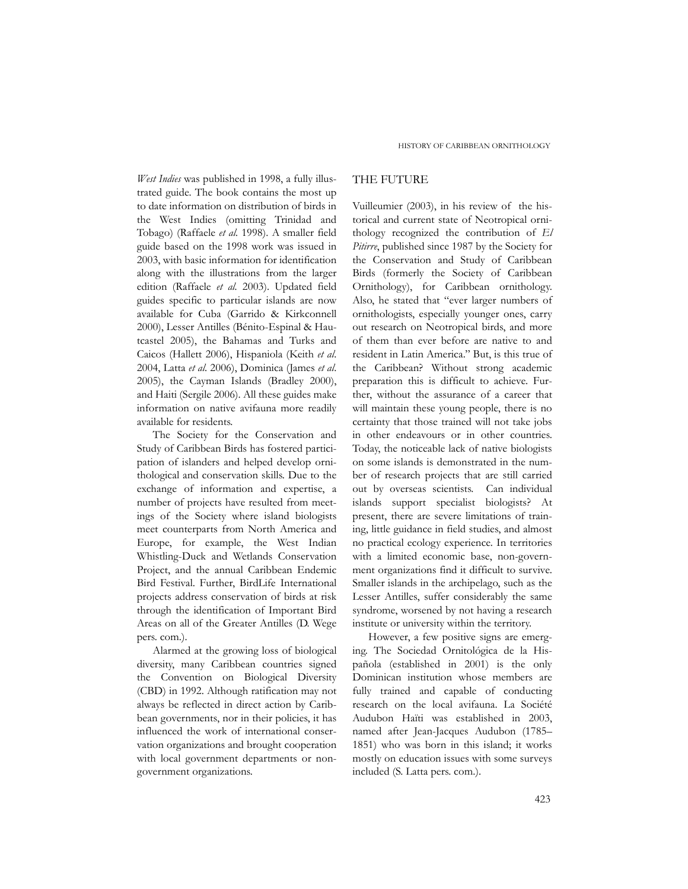*West Indies* was published in 1998, a fully illustrated guide. The book contains the most up to date information on distribution of birds in the West Indies (omitting Trinidad and Tobago) (Raffaele *et al.* 1998). A smaller field guide based on the 1998 work was issued in 2003, with basic information for identification along with the illustrations from the larger edition (Raffaele *et al.* 2003). Updated field guides specific to particular islands are now available for Cuba (Garrido & Kirkconnell 2000), Lesser Antilles (Bénito-Espinal & Hautcastel 2005), the Bahamas and Turks and Caicos (Hallett 2006), Hispaniola (Keith *et al*. 2004, Latta *et al*. 2006), Dominica (James *et al*. 2005), the Cayman Islands (Bradley 2000), and Haiti (Sergile 2006). All these guides make information on native avifauna more readily available for residents.

The Society for the Conservation and Study of Caribbean Birds has fostered participation of islanders and helped develop ornithological and conservation skills. Due to the exchange of information and expertise, a number of projects have resulted from meetings of the Society where island biologists meet counterparts from North America and Europe, for example, the West Indian Whistling-Duck and Wetlands Conservation Project, and the annual Caribbean Endemic Bird Festival. Further, BirdLife International projects address conservation of birds at risk through the identification of Important Bird Areas on all of the Greater Antilles (D. Wege pers. com.).

Alarmed at the growing loss of biological diversity, many Caribbean countries signed the Convention on Biological Diversity (CBD) in 1992. Although ratification may not always be reflected in direct action by Caribbean governments, nor in their policies, it has influenced the work of international conservation organizations and brought cooperation with local government departments or nongovernment organizations.

#### THE FUTURE

Vuilleumier (2003), in his review of the historical and current state of Neotropical ornithology recognized the contribution of *El Pitirre*, published since 1987 by the Society for the Conservation and Study of Caribbean Birds (formerly the Society of Caribbean Ornithology), for Caribbean ornithology. Also, he stated that "ever larger numbers of ornithologists, especially younger ones, carry out research on Neotropical birds, and more of them than ever before are native to and resident in Latin America." But, is this true of the Caribbean? Without strong academic preparation this is difficult to achieve. Further, without the assurance of a career that will maintain these young people, there is no certainty that those trained will not take jobs in other endeavours or in other countries. Today, the noticeable lack of native biologists on some islands is demonstrated in the number of research projects that are still carried out by overseas scientists. Can individual islands support specialist biologists? At present, there are severe limitations of training, little guidance in field studies, and almost no practical ecology experience. In territories with a limited economic base, non-government organizations find it difficult to survive. Smaller islands in the archipelago, such as the Lesser Antilles, suffer considerably the same syndrome, worsened by not having a research institute or university within the territory.

However, a few positive signs are emerging. The Sociedad Ornitológica de la Hispañola (established in 2001) is the only Dominican institution whose members are fully trained and capable of conducting research on the local avifauna. La Société Audubon Haïti was established in 2003, named after Jean-Jacques Audubon (1785– 1851) who was born in this island; it works mostly on education issues with some surveys included (S. Latta pers. com.).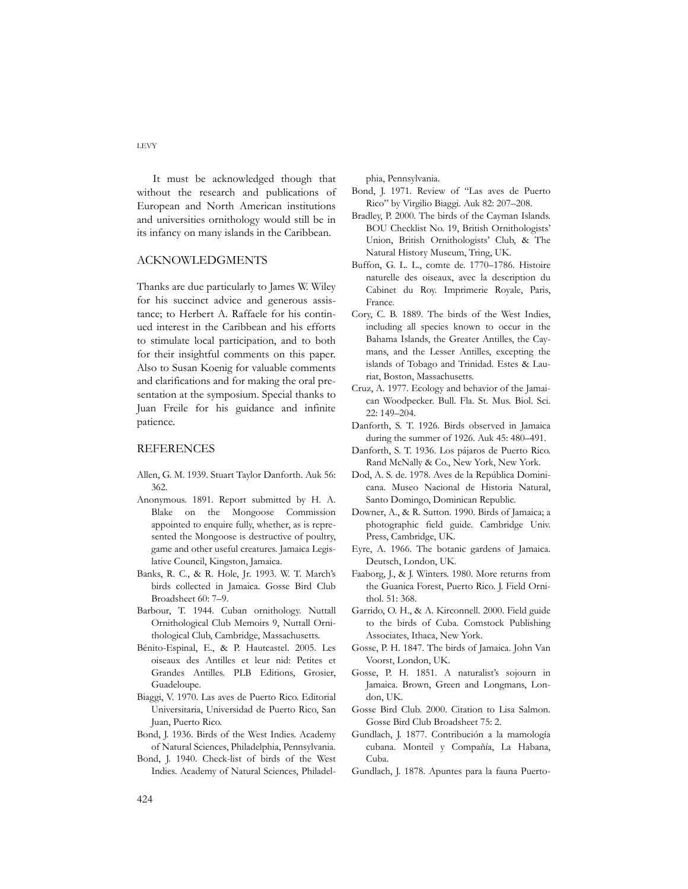It must be acknowledged though that without the research and publications of European and North American institutions and universities ornithology would still be in its infancy on many islands in the Caribbean.

#### ACKNOWLEDGMENTS

Thanks are due particularly to James W. Wiley for his succinct advice and generous assistance; to Herbert A. Raffaele for his continued interest in the Caribbean and his efforts to stimulate local participation, and to both for their insightful comments on this paper. Also to Susan Koenig for valuable comments and clarifications and for making the oral presentation at the symposium. Special thanks to Juan Freile for his guidance and infinite patience.

#### REFERENCES

- Allen, G. M. 1939. Stuart Taylor Danforth. Auk 56: 362.
- Anonymous. 1891. Report submitted by H. A. Blake on the Mongoose Commission appointed to enquire fully, whether, as is represented the Mongoose is destructive of poultry, game and other useful creatures. Jamaica Legislative Council, Kingston, Jamaica.
- Banks, R. C., & R. Hole, Jr. 1993. W. T. March's birds collected in Jamaica. Gosse Bird Club Broadsheet 60: 7–9.
- Barbour, T. 1944. Cuban ornithology. Nuttall Ornithological Club Memoirs 9, Nuttall Ornithological Club, Cambridge, Massachusetts.
- Bénito-Espinal, E., & P. Hautcastel. 2005. Les oiseaux des Antilles et leur nid: Petites et Grandes Antilles. PLB Editions, Grosier, Guadeloupe.
- Biaggi, V. 1970. Las aves de Puerto Rico. Editorial Universitaria, Universidad de Puerto Rico, San Juan, Puerto Rico.
- Bond, J. 1936. Birds of the West Indies. Academy of Natural Sciences, Philadelphia, Pennsylvania.
- Bond, J. 1940. Check-list of birds of the West Indies. Academy of Natural Sciences, Philadel-

phia, Pennsylvania.

- Bond, J. 1971. Review of "Las aves de Puerto Rico" by Virgilio Biaggi. Auk 82: 207–208.
- Bradley, P. 2000. The birds of the Cayman Islands. BOU Checklist No. 19, British Ornithologists' Union, British Ornithologists' Club, & The Natural History Museum, Tring, UK.
- Buffon, G. L. L., comte de. 1770–1786. Histoire naturelle des oiseaux, avec la description du Cabinet du Roy. Imprimerie Royale, Paris, France.
- Cory, C. B. 1889. The birds of the West Indies, including all species known to occur in the Bahama Islands, the Greater Antilles, the Caymans, and the Lesser Antilles, excepting the islands of Tobago and Trinidad. Estes & Lauriat, Boston, Massachusetts.
- Cruz, A. 1977. Ecology and behavior of the Jamaican Woodpecker. Bull. Fla. St. Mus. Biol. Sci. 22: 149–204.
- Danforth, S. T. 1926. Birds observed in Jamaica during the summer of 1926. Auk 45: 480–491.
- Danforth, S. T. 1936. Los pájaros de Puerto Rico. Rand McNally & Co., New York, New York.
- Dod, A. S. de. 1978. Aves de la República Dominicana. Museo Nacional de Historia Natural, Santo Domingo, Dominican Republic.
- Downer, A., & R. Sutton. 1990. Birds of Jamaica; a photographic field guide. Cambridge Univ. Press, Cambridge, UK.
- Eyre, A. 1966. The botanic gardens of Jamaica. Deutsch, London, UK.
- Faaborg, J., & J. Winters. 1980. More returns from the Guanica Forest, Puerto Rico. J. Field Ornithol. 51: 368.
- Garrido, O. H., & A. Kirconnell. 2000. Field guide to the birds of Cuba. Comstock Publishing Associates, Ithaca, New York.
- Gosse, P. H. 1847. The birds of Jamaica. John Van Voorst, London, UK.
- Gosse, P. H. 1851. A naturalist's sojourn in Jamaica. Brown, Green and Longmans, London, UK.
- Gosse Bird Club. 2000. Citation to Lisa Salmon. Gosse Bird Club Broadsheet 75: 2.
- Gundlach, J. 1877. Contribución a la mamología cubana. Monteil y Compañía, La Habana, Cuba.
- Gundlach, J. 1878. Apuntes para la fauna Puerto-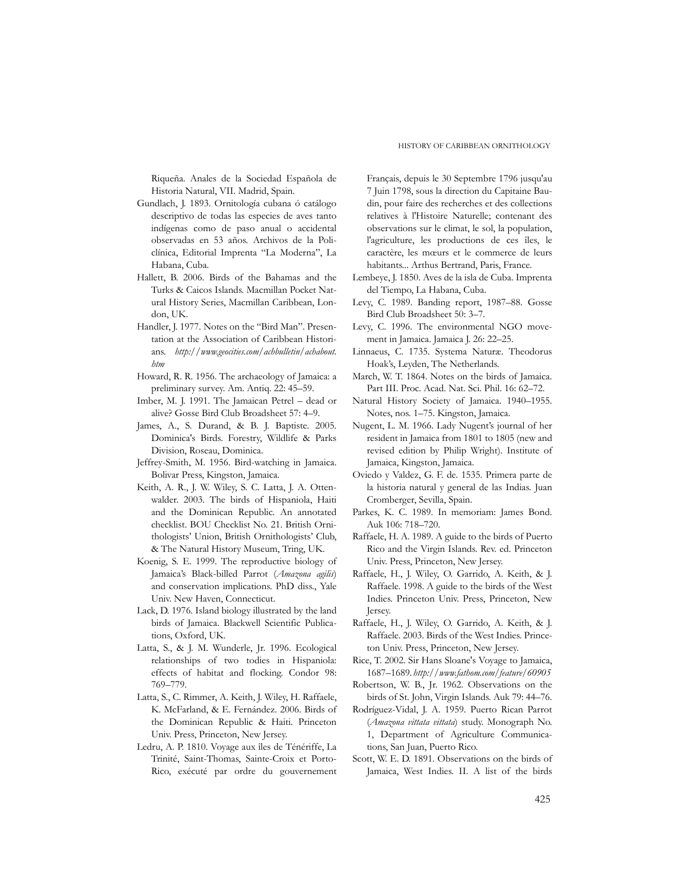Riqueña. Anales de la Sociedad Española de Historia Natural, VII. Madrid, Spain.

- Gundlach, J. 1893. Ornitología cubana ó catálogo descriptivo de todas las especies de aves tanto indígenas como de paso anual o accidental observadas en 53 años. Archivos de la Policlínica, Editorial Imprenta "La Moderna", La Habana, Cuba.
- Hallett, B. 2006. Birds of the Bahamas and the Turks & Caicos Islands. Macmillan Pocket Natural History Series, Macmillan Caribbean, London, UK.
- Handler, J. 1977. Notes on the "Bird Man". Presentation at the Association of Caribbean Historians. *http://www.geocities.com/achbulletin/achabout. htm*
- Howard, R. R. 1956. The archaeology of Jamaica: a preliminary survey. Am. Antiq. 22: 45–59.
- Imber, M. J. 1991. The Jamaican Petrel dead or alive? Gosse Bird Club Broadsheet 57: 4–9.
- James, A., S. Durand, & B. J. Baptiste. 2005. Dominica's Birds. Forestry, Wildlife & Parks Division, Roseau, Dominica.
- Jeffrey-Smith, M. 1956. Bird-watching in Jamaica. Bolivar Press, Kingston, Jamaica.
- Keith, A. R., J. W. Wiley, S. C. Latta, J. A. Ottenwalder. 2003. The birds of Hispaniola, Haiti and the Dominican Republic. An annotated checklist. BOU Checklist No. 21. British Ornithologists' Union, British Ornithologists' Club, & The Natural History Museum, Tring, UK.
- Koenig, S. E. 1999. The reproductive biology of Jamaica's Black-billed Parrot (*Amazona agilis*) and conservation implications. PhD diss., Yale Univ. New Haven, Connecticut.
- Lack, D. 1976. Island biology illustrated by the land birds of Jamaica. Blackwell Scientific Publications, Oxford, UK.
- Latta, S., & J. M. Wunderle, Jr. 1996. Ecological relationships of two todies in Hispaniola: effects of habitat and flocking. Condor 98: 769–779.
- Latta, S., C. Rimmer, A. Keith, J. Wiley, H. Raffaele, K. McFarland, & E. Fernández. 2006. Birds of the Dominican Republic & Haiti. Princeton Univ. Press, Princeton, New Jersey.
- Ledru, A. P. 1810. Voyage aux îles de Ténériffe, La Trinité, Saint-Thomas, Sainte-Croix et Porto-Rico, exécuté par ordre du gouvernement

Français, depuis le 30 Septembre 1796 jusqu'au 7 Juin 1798, sous la direction du Capitaine Baudin, pour faire des recherches et des collections relatives à l'Histoire Naturelle; contenant des observations sur le climat, le sol, la population, l'agriculture, les productions de ces îles, le caractère, les mœurs et le commerce de leurs habitants... Arthus Bertrand, Paris, France.

- Lembeye, J. 1850. Aves de la isla de Cuba. Imprenta del Tiempo, La Habana, Cuba.
- Levy, C. 1989. Banding report, 1987–88. Gosse Bird Club Broadsheet 50: 3–7.
- Levy, C. 1996. The environmental NGO movement in Jamaica. Jamaica J. 26: 22–25.
- Linnaeus, C. 1735. Systema Naturæ. Theodorus Hoak's, Leyden, The Netherlands.
- March, W. T. 1864. Notes on the birds of Jamaica. Part III. Proc. Acad. Nat. Sci. Phil. 16: 62–72.
- Natural History Society of Jamaica. 1940–1955. Notes, nos. 1–75. Kingston, Jamaica.
- Nugent, L. M. 1966. Lady Nugent's journal of her resident in Jamaica from 1801 to 1805 (new and revised edition by Philip Wright). Institute of Jamaica, Kingston, Jamaica.
- Oviedo y Valdez, G. F. de. 1535. Primera parte de la historia natural y general de las Indias. Juan Cromberger, Sevilla, Spain.
- Parkes, K. C. 1989. In memoriam: James Bond. Auk 106: 718–720.
- Raffaele, H. A. 1989. A guide to the birds of Puerto Rico and the Virgin Islands. Rev. ed. Princeton Univ. Press, Princeton, New Jersey.
- Raffaele, H., J. Wiley, O. Garrido, A. Keith, & J. Raffaele. 1998. A guide to the birds of the West Indies. Princeton Univ. Press, Princeton, New Jersey.
- Raffaele, H., J. Wiley, O. Garrido, A. Keith, & J. Raffaele. 2003. Birds of the West Indies. Princeton Univ. Press, Princeton, New Jersey.
- Rice, T. 2002. Sir Hans Sloane's Voyage to Jamaica, 1687–1689. *http://www.fathom.com/feature/60905*
- Robertson, W. B., Jr. 1962. Observations on the birds of St. John, Virgin Islands. Auk 79: 44–76.
- Rodríguez-Vidal, J. A. 1959. Puerto Rican Parrot (*Amazona vittata vittata*) study. Monograph No. 1, Department of Agriculture Communications, San Juan, Puerto Rico.
- Scott, W. E. D. 1891. Observations on the birds of Jamaica, West Indies. II. A list of the birds